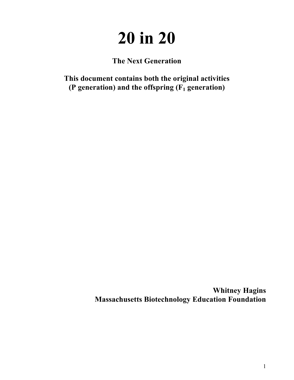# **20 in 20**

**The Next Generation**

**This document contains both the original activities (P generation) and the offspring (F1 generation)**

> **Whitney Hagins Massachusetts Biotechnology Education Foundation**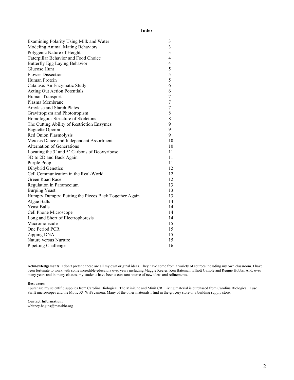# **Index**

| Examining Polarity Using Milk and Water               | 3              |
|-------------------------------------------------------|----------------|
| Modeling Animal Mating Behaviors                      | 3              |
| Polygenic Nature of Height                            | $\overline{3}$ |
| Caterpillar Behavior and Food Choice                  | $\overline{4}$ |
| Butterfly Egg Laying Behavior                         | $\overline{4}$ |
| Glucose Hunt                                          | 5              |
| <b>Flower Dissection</b>                              | 5              |
| Human Protein                                         | 5              |
| Catalase: An Enzymatic Study                          | 6              |
| <b>Acting Out Action Potentials</b>                   | 6              |
| Human Transport                                       | $\overline{7}$ |
| Plasma Membrane                                       | $\overline{7}$ |
| Amylase and Starch Plates                             | $\overline{7}$ |
| Gravitropism and Phototropism                         | 8              |
| Homologous Structure of Skeletons                     | 8              |
| The Cutting Ability of Restriction Enzymes            | 9              |
| <b>Baguette Operon</b>                                | 9              |
| Red Onion Plasmolysis                                 | 9              |
| Meiosis Dance and Independent Assortment              | 10             |
| Alternation of Generations                            | 10             |
| Locating the 3' and 5' Carbons of Deoxyribose         | 11             |
| 3D to 2D and Back Again                               | 11             |
| Purple Poop                                           | 11             |
| <b>Dihybrid Genetics</b>                              | 12             |
| Cell Communication in the Real-World                  | 12             |
| Green Road Race                                       | 12             |
| Regulation in Paramecium                              | 13             |
| <b>Burping Yeast</b>                                  | 13             |
| Humpty Dumpty: Putting the Pieces Back Together Again | 13             |
| Algae Balls                                           | 14             |
| <b>Yeast Balls</b>                                    | 14             |
| Cell Phone Microscope                                 | 14             |
| Long and Short of Electrophoresis                     | 14             |
| Macromolecule                                         | 15             |
| One Period PCR                                        | 15             |
| Zipping DNA                                           | 15             |
| Nature versus Nurture                                 | 15             |
| <b>Pipetting Challenge</b>                            | 16             |

**Acknowledgements:** I don't pretend these are all my own original ideas. They have come from a variety of sources including my own classroom. I have been fortunate to work with some incredible educators over years including Maggie Keeler, Ken Bateman, Elliott Gimble and Reggie Hobbs. And, over many years and in many classes, my students have been a constant source of new ideas and refinements.

# **Resources:**

I purchase my scientific supplies from Carolina Biological, The MiniOne and MiniPCR. Living material is purchased from Carolina Biological. I use Swift microscopes and the Motic X<sup>2</sup> WiFi camera. Many of the other materials I find in the grocery store or a building supply store.

# **Contact Information:**

whitney.hagins@massbio.org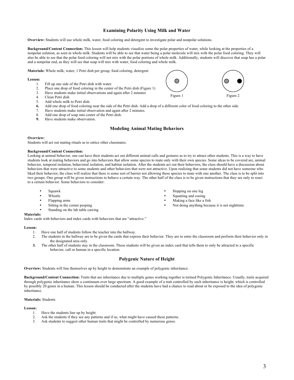# **Examining Polarity Using Milk and Water**

**Overview:** Students will use whole milk, water, food coloring and detergent to investigate polar and nonpolar solutions.

**Background/Content Connection:** This lesson will help students visualize some the polar properties of water, while looking at the properties of a nonpolar solution, as seen in whole milk. Students will be able to see that water being a polar molecule will mix with the polar food coloring. They will also be able to see that the polar food coloring will not mix with the polar portions of whole milk. Additionally, students will discover that soap has a polar and a nonpolar end, as they will see that soap will mix with water, food coloring and whole milk.

**Materials:** Whole milk, water, 1 Petri dish per group, food coloring, detergent

#### **Lesson:**

- 1. Fill up one side of the Petri dish with water.
- 2. Place one drop of food coloring in the center of the Petri dish (Figure 1)<br>3. Have students make initial observations and again after 2 minutes
- Have students make initial observations and again after 2 minutes
- 4. Clean Petri dish
- 5. Add whole milk to Petri dish.
- **6.** Add one drop of food coloring near the side of the Petri dish. Add a drop of a different color of food coloring to the other side.
- 7. Have students make initial observation and again after 2 minutes.
- 8. Add one drop of soap into center of the Petri dish.
- **9.** Have students make observation.

# **Modeling Animal Mating Behaviors**

#### **Overview:**

Students will act out mating rituals as to entice other classmates.

#### **Background/Content Connection:**

Looking at animal behavior, one can have their students act out different animal calls and gestures as to try to attract other students. This is a way to have students look at mating behaviors and go into behaviors that allow some species to mate only with their own species. Some ideas to be covered are, animal behavior, temporal isolation, behavioral isolation, and habitat isolation. After the students act out their behaviors, the class should have a discussion about behaviors that were attractive to some students and other behaviors that were not attractive. Upon realizing that some students did not have someone who liked their behavior, the class will realize that there is some sort of barrier not allowing these species to mate with one another. The class is to be split into two groups. One group will be given instructions to behave a certain way. The other half of the class is to be given instructions that they are only to react to a certain behavior. Some behaviors to consider:

- Squawk
- Whistle
- Flapping arms
- Sitting in the corner peeping
- Standing on the lab table cawing
- **Materials:**

Index cards with behaviors and index cards with behaviors that are "attractive."

#### **Lesson:**

- 1. Have one half of students follow the teacher into the hallway.
- 2. The students in the hallway are to be given the cards that express their behavior. They are to enter the classroom and perform their behavior only in the designated area only.
- **3.** The other half of students stay in the classroom. These students will be given an index card that tells them to only be attracted to a specific behavior, call or human in a specific location.

# **Polygenic Nature of Height**

**Overview:** Students will line themselves up by height to demonstrate an example of polygenic inheritance.

**Background/Content Connection:** Traits that are inheritance due to multiple genes working together is termed Polygenic Inheritance. Usually, traits acquired through polygenic inheritance show a continuum over large spectrum. A good example of a trait controlled by such inheritance is height, which is controlled by possibly 20 genes in a human. This lesson should be conducted after the students have had a chance to read about or be exposed to the idea of polygenic inheritance.

#### **Materials:** Students

# **Lesson:**

- 1. Have the students line up by height
- 2. Ask the students if they see any patterns and if so, what might have caused these patterns.
- 3. Ask students to suggest other human traits that might be controlled by numerous genes.

Figure 1 Figure 2





• Hopping on one leg

• Not doing anything because it is not nighttime

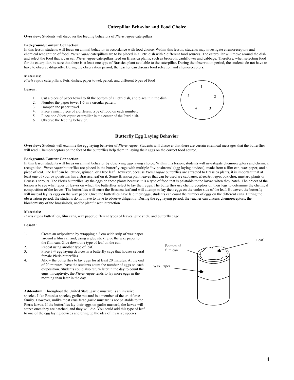# **Caterpillar Behavior and Food Choice**

**Overview:** Students will discover the feeding behaviors of *Pieris rapae* caterpillars.

#### **Background/Content Connection:**

In this lesson students will focus on animal behavior in accordance with food choice. Within this lesson, students may investigate chemoreceptors and chemical recognition of food. *Pieris rapae* caterpillars are to be placed in a Petri dish with 5 different food sources. The caterpillar will move around the dish and select the food that it can eat. *Pieris rapae* caterpillars feed on Brassica plants, such as broccoli, cauliflower and cabbage. Therefore, when selecting food for the caterpillar, be sure that there is at least one type of Brassica plant available to the caterpillar. During the observation period, the students do not have to have to observe diligently. During the observation period, the teacher can discuss food selection and chemoreceptors.

#### **Materials:**

*Pieris rapae* caterpillars, Petri dishes, paper towel, pencil, and different types of food

#### **Lesson:**

- 1. Cut a piece of paper towel to fit the bottom of a Petri dish, and place it in the dish.<br>2. Number the paper towel 1-5 in a circular pattern.
- Number the paper towel 1-5 in a circular pattern.
- 3. Dampen the paper towel.
- 4. Place a small piece of a different type of food on each number.
- 5. Place one *Pieris rapae* caterpillar in the center of the Petri dish.
- 6. Observe the feeding behavior.



**Butterfly Egg Laying Behavior**

**Overview:** Students will examine the egg laying behavior of *Pieris rapae*. Students will discover that there are certain chemical messages that the butterflies will read. Chemoreceptors on the feet of the butterflies help them in laying their eggs on the correct food source.

# **Background/Content Connection:**

In this lesson students will focus on animal behavior by observing egg-laying choice. Within this lesson, students will investigate chemoreceptors and chemical recognition. *Pieris rapae* butterflies are placed in the butterfly cage with multiple "ovipositrons" (egg laying devices), made from a film can, wax paper, and a piece of leaf. The leaf can be lettuce, spinach, or a tree leaf. However, because *Pieris rapae* butterflies are attracted to Brassica plants, it is important that at least one of your ovipositrons has a Brassica leaf on it. Some Brassica plant leaves that can be used are cabbages, *Brassica rapa*, bok choi, mustard plants or Brussels sprouts. The Pieris butterflies lay the eggs on these plants because it is a type of food that is palatable to the larvae when they hatch. The object of the lesson is to see what types of leaves on which the butterflies select to lay their eggs. The butterflies use chemoreceptors on their legs to determine the chemical composition of the leaves. The butterflies will sense the Brassica leaf and will attempt to lay their eggs on the under side of the leaf. However, the butterfly will instead lay its eggs on the wax paper. Once the butterflies have laid their eggs, students can count the number of eggs on the different cans. During the observation period, the students do not have to have to observe diligently. During the egg laying period, the teacher can discuss chemoreceptors, the biochemistry of the brassiniods, and/or plant/insect interaction

#### **Materials:**

*Pieris rapae* butterflies, film cans, wax paper, different types of leaves, glue stick, and butterfly cage

#### **Lesson:**

- 1. Create an ovipositron by wrapping a 2 cm wide strip of wax paper around a film can and, using a glue stick, glue the wax paper to the film can. Glue down one type of leaf on the can.
- 2. Repeat using another type of leaf.
- 3. Place 3-4 egg laying devices in a butterfly cage that houses several female Pieris butterflies.
- 4. Allow the butterflies to lay eggs for at least 20 minutes. At the end of 20 minutes, have the students count the number of eggs on each ovipositron. Students could also return later in the day to count the eggs. In captivity, the *Pieris rapae* tends to lay more eggs in the morning than later in the day.

**Addendum:** Throughout the United State, garlic mustard is an invasive species. Like Brassica species, garlic mustard is a member of the cruciferae family. However, unlike most cruciferae garlic mustard is not palatable to the Pieris larvae. If the butterflies lay their eggs on garlic mustard, the larvae will starve once they are hatched, and they will die. You could add this type of leaf to one of the egg laying devices and bring up the idea of invasive species.

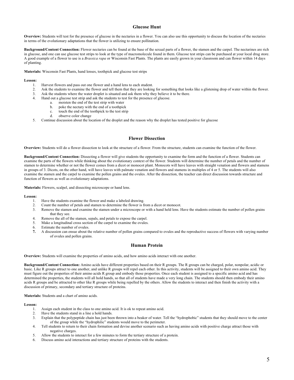# **Glucose Hunt**

**Overview:** Students will test for the presence of glucose in the nectaries in a flower. You can also use this opportunity to discuss the location of the nectaries in terms of the evolutionary adaptations that the flower is utilizing to ensure pollination.

**Background/Content Connection:** Flower nectaries can be found at the base of the sexual parts of a flower, the stamen and the carpel. The nectarines are rich in glucose, and one can use glucose test strips to look at the type of macromolecule found in them. Glucose test strips can be purchased at your local drug store. A good example of a flower to use is a *Brassica rapa* or Wisconsin Fast Plants. The plants are easily grown in your classroom and can flower within 14 days of planting.

**Materials:** Wisconsin Fast Plants, hand lenses, toothpick and glucose test strips

# **Lesson:**

- 1. Harvest flowers and pass out one flower and a hand lens to each student.
- 2. Ask the students to examine the flower and tell them that they are looking for something that looks like a glistening drop of water within the flower.
- 3. Ask the students where the water droplet is situated and ask them why they believe it to be there.<br>4. Hand out a glucose test strin and ask the students to test for the presence of glucose
- Hand out a glucose test strip and ask the students to test for the presence of glucose.
	- a. moisten the end of the test strip with water
	- b. poke the nectary with the end of a toothpick
	- c. touch the end of the toothpick to the test strip<br>d observe color change
	- observe color change
- 5. Continue discussion about the location of the droplet and the reason why the droplet has tested positive for glucose

# **Flower Dissection**

**Overview:** Students will do a flower dissection to look at the structure of a flower. From the structure, students can examine the function of the flower.

**Background/Content Connection:** Dissecting a flower will give students the opportunity to examine the form and the function of a flower. Students can examine the parts of the flowers while thinking about the evolutionary context of the flower. Students will determine the number of petals and the number of stamen to determine whether or not the flower comes from a dicot or monocot plant. Monocots will have leaves with straight venation and flowers and stamens in groups of 3. Dicots, on the other hand, will have leaves with palmate venation and flowers and stamens in multiples of 4 or 5. The students will also examine the stamen and the carpel to examine the pollen grains and the ovules. After the dissection, the teacher can direct discussion towards structure and function of flowers as well as evolutionary adaptations.

**Materials:** Flowers, scalpel, and dissecting microscope or hand lens.

#### **Lesson:**

- 1. Have the students examine the flower and make a labeled drawing.
- 2. Count the number of petals and stamen to determine the flower is from a dicot or monocot.
- 3. Remove the stamen and examine the stamen under a microscope or with a hand held lens. Have the students estimate the number of pollen grains that they see.
- 4. Remove the all of the stamen, sepals, and petals to expose the carpel.
- 5. Make a longitudinal cross section of the carpel to examine the ovules.
- 6. Estimate the number of ovules.
- **7.** A discussion can ensue about the relative number of pollen grains compared to ovules and the reproductive success of flowers with varying number of ovules and pollen grains.

# **Human Protein**

**Overview:** Students will examine the properties of amino acids, and how amino acids interact with one another.

**Background/Content Connection:** Amino acids have different properties based on their R groups. The R groups can be charged, polar, nonpolar, acidic or basic. Like R groups attract to one another, and unlike R groups will repel each other. In this activity, students will be assigned to their own amino acid. They must figure out the properties of their amino acids R group and embody those properties. Once each student is assigned to a specific amino acid and has determined the properties, the students will all hold hands, so that all of students have made a very long chain. The students should then embody their amino acids R groups and be attracted to other like R groups while being repelled by the others. Allow the students to interact and then finish the activity with a discussion of primary, secondary and tertiary structure of proteins.

**Materials:** Students and a chart of amino acids.

- 1. Assign each student in the class to one amino acid. It is ok to repeat amino acid.
- 2. Have the students stand in a line a hold hands.
- 3. Explain that the polypeptide chain has just been thrown into a beaker of water. Tell the "hydrophobic" students that they should move to the center of the group while the "hydrophilic" students would move to the perimeter.
- 4. Tell students to return to their chain formation and devise another scenario such as having amino acids with positive charge attract those with negative charges.
- 5. Allow the students to interact for a few minutes to form the tertiary structure of a protein.
- 6. Discuss amino acid interactions and tertiary structure of proteins with the students.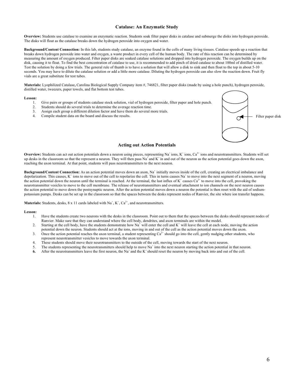# **Catalase: An Enzymatic Study**

**Overview:** Students use catalase to examine an enzymatic reaction. Students soak filter paper disks in catalase and submerge the disks into hydrogen peroxide. The disks will float as the catalase breaks down the hydrogen peroxide into oxygen and water.

**Background/Content Connection:** In this lab, students study catalase, an enzyme found in the cells of many living tissues. Catalase speeds up a reaction that breaks down hydrogen peroxide into water and oxygen, a waste product in every cell of the human body. The rate of this reaction can be determined by measuring the amount of oxygen produced. Filter paper disks are soaked catalase solutions and dropped into hydrogen peroxide. The oxygen builds up on the disk, causing it to float. To find the best concentration of catalase to use, it is recommended to add pinch of dried catalase to about 100ml of distilled water. Test the solution by doing a few trials. The general rule of thumb is to have a solution that will allow a disk to sink and then float to the top in about 5-10 seconds. You may have to dilute the catalase solution or add a little more catalase. Diluting the hydrogen peroxide can also slow the reaction down. Fruit fly vials are a great substitute for test tubes.

**Materials:** Lyophilized Catalase**,** Carolina Biological Supply Company item #, 746821, filter paper disks (made by using a hole punch), hydrogen peroxide, distilled water, tweezers, paper towels, and flat bottom test tubes.

#### **Lesson:**

- 1. Give pairs or groups of students catalase stock solution, vial of hydrogen peroxide, filter paper and hole punch.
- 2. Students should do several trials to determine the average reaction time.<br>
3. Assign each group a different dilution factor and have them do several n
- 3. Assign each group a different dilution factor and have them do several more trials.<br>4. Compile student data on the board and discuss the results
- Compile student data on the board and discuss the results.



# **Acting out Action Potentials**

**Overview:** Students can act out action potentials down a neuron using pieces, representing Na<sup>+</sup> ions,  $K^+$  ions,  $Ca^{2+}$  ions and neurotransmitters. Students will set up desks in the classroom so that the represent a neuron. They will then pass  $N_a^{\dagger}$  and  $K^{\dagger}$  in and out of the neuron as the action potential goes down the axon, reaching the axon terminal. At that point, students will pass neurotransmitters to the next neuron.

**Background/Content Connection:** As an action potential moves down an axon, Na<sup>+</sup> initially moves inside of the cell, creating an electrical imbalance and depolarization. This causes,  $K^+$  ions to move out of the cell to repolarize the cell. This in turns causes  $Na^+$  to move into the next segment of a neuron, moving the action potential down the neuron until the terminal is reached. At the terminal, the last influx of  $K^+$  causes  $Ca^{2+}$  to move into the cell, provoking the neurotransmitter vesicles to move to the cell membrane. The release of neurotransmitters and eventual attachment to ion channels on the next neuron causes the action potential to move down the postsynaptic neuron. After the action potential moves down a neuron the potential is then reset with the aid of sodiumpotassium pumps. Desks can be set up in the classroom so that the spaces between the desks represent nodes of Ranvier, the site where ion transfer happens.

**Materials:** Students, desks,  $8 \times 11$  cards labeled with  $Na^+$ ,  $K^+$ ,  $Ca^{2+}$ , and neurotransmitters.

- 1. Have the students create two neurons with the desks in the classroom. Point out to them that the spaces between the desks should represent nodes of Ranvier. Make sure that they can understand where the cell body, dendrites, and axon terminals are within the model.
- 2. Starting at the cell body, have the students demonstrate how  $Na^+$  will enter the cell and  $K^+$  will leave the cell at each node, moving the action potential down the neuron. Students should act at the ions, moving in and out of the cell as the action potential moves down the axon.
- 3. Once the action potential reaches the axon terminal, a student representing  $Ca<sup>2+</sup>$  should go into the cell, gently nudging other students, who represent neurotransmitter vesicles to move towards the axon terminal.
- 4. These students should move their neurotransmitters to the outside of the cell, moving towards the start of the next neuron.
- 5. The students representing the neurotransmitters should help to move  $Na^+$  into the next neuron starting the action potential in that neuron.
- **6.** After the neurotransmitters leave the first neuron, the Na<sup>+</sup> and the K<sup>+</sup> should reset the neuron by moving back into and out of the cell.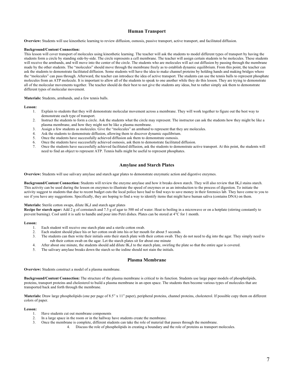# **Human Transport**

**Overview:** Students will use kinesthetic learning to review diffusion, osmosis, passive transport, active transport, and facilitated diffusion.

#### **Background/Content Connection:**

This lesson will cover transport of molecules using kinesthetic learning. The teacher will ask the students to model different types of transport by having the students form a circle by standing side-by-side. The circle represents a cell membrane. The teacher will assign certain students to be molecules. These students will receive the armbands, and will move into the center of the circle. The students who are molecules will act out diffusion by passing through the membrane made by the other students. The "molecules" should move through the membrane freely as to establish dynamic equilibrium. From this point, the teacher can ask the students to demonstrate facilitated diffusion. Some students will have the idea to make channel proteins by holding hands and making bridges where the "molecules" can pass through. Afterward, the teacher can introduce the idea of active transport. The students can use the tennis balls to represent phosphate molecules from an ATP molecule. It is important to allow all of the students to speak to one another while they do this lesson. They are trying to demonstrate all of the molecular movements together. The teacher should do their best to not give the students any ideas, but to rather simply ask them to demonstrate different types of molecular movement.

**Materials:** Students, armbands, and a few tennis balls.

#### **Lesson:**

- 1. Explain to students that they will demonstrate molecular movement across a membrane. They will work together to figure out the best way to demonstrate each type of transport.
- 2. Instruct the students to form a circle. Ask the students what the circle may represent. The instructor can ask the students how they might be like a plasma membrane, and how they might not be like a plasma membrane.
- 3. Assign a few students as molecules. Give the "molecules" an armband to represent that they are molecules.
- 4. Ask the students to demonstrate diffusion, allowing them to discover dynamic equilibrium.
- 5. Once the students have successfully achieved diffusion ask them to demonstrate osmosis.
- 6. Once the students have successfully achieved osmosis, ask them to demonstrate facilitated diffusion.
- 7. Once the students have successfully achieved facilitated diffusion, ask the students to demonstrate active transport. At this point, the students will need to find an object to represent ATP. Tennis balls might be useful to represent phosphates.

# **Amylase and Starch Plates**

**Overview:** Students will use salivary amylase and starch agar plates to demonstrate enzymatic action and digestive enzymes.

**Background/Content Connection:** Students will review the enzyme amylase and how it breaks down starch. They will also review that IK2I stains starch. This activity can be used during the lesson on enzymes to illustrate the speed of enzymes or as an introduction to the process of digestion. To initiate the activity suggest to students that due to recent budget cuts the local police have had to find ways to save money in their forensics lab. They have come to you to see if you have any suggestions. Specifically, they are hoping to find a way to identify items that might have human saliva (contains DNA) on them.

# **Materials:** Sterile cotton swaps, dilute IK<sub>2</sub>I and starch agar plates

**Recipe for starch agar:** Add 2 g of cornstarch and 7.5 g of agar to 500 ml of water. Heat to boiling in a microwave or on a hotplate (stirring constantly to prevent burning). Cool until it is safe to handle and pour into Petri dishes. Plates can be stored at 4°C for 1 month.

#### **Lesson:**

- 1. Each student will receive one starch plate and a sterile cotton swab.<br>2. Each student should place his or her cotton swab into his or her mot
- Each student should place his or her cotton swab into his or her mouth for about 5 seconds.
- 3. The students can then write their initials onto their starch plate with their cotton swab. They do not need to dig into the agar. They simply need to rub their cotton swab on the agar. Let the starch plates sit for about one minute
- 4. After about one minute, the students should add dilute IK2I to the starch plate, swirling the plate so that the entire agar is covered.
- 5. The salivary amylase breaks down the starch so the iodine should not stain the initials.

# **Plasma Membrane**

**Overview:** Students construct a model of a plasma membrane.

**Background/Content Connection:** The structure of the plasma membrane is critical to its function. Students use large paper models of phospholipids, proteins, transport proteins and cholesterol to build a plasma membrane in an open space. The students then become various types of molecules that are transported back and forth through the membrane.

**Materials:** Draw large phospholipids (one per page of 8.5" x 11" paper), peripheral proteins, channel proteins, cholesterol. If possible copy them on different colors of paper.

- 1. Have students cut out membrane components
- 2. In a large space in the room or in the hallway have students create the membrane.
- 3. Once the membrane is complete, different students can take the role of material that passes through the membrane.
	- Discuss the role of phospholipids in creating a boundary and the role of proteins as transport molecules.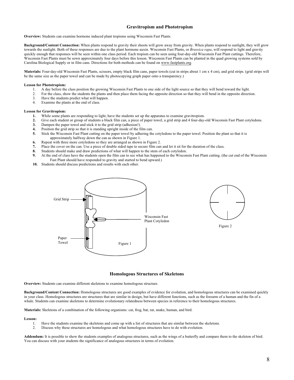# **Gravitropism and Phototropism**

**Overview:** Students can examine hormone induced plant tropisms using Wisconsin Fast Plants.

**Background/Content Connection:** When plants respond to gravity their shoots will grow away from gravity. When plants respond to sunlight, they will grow towards the sunlight. Both of these responses are due to the plant hormone auxin. Wisconsin Fast Plants, or *Brassica rapa*, will respond to light and gravity quickly enough that responses will be seen within one class period. Each tropism can be seen using four-day-old Wisconsin Fast Plant cuttings. Therefore, Wisconsin Fast Plants must be sown approximately four days before this lesson. Wisconsin Fast Plants can be planted in the quad growing systems sold by Carolina Biological Supply or in film cans. Directions for both methods can be found on www.fastplants.org.

**Materials:** Four-day-old Wisconsin Fast Plants, scissors, empty black film cans, paper towels (cut in strips about 1 cm x 4 cm), and grid strips. (grid strips will be the same size as the paper towel and can be made by photocopying graph paper onto a transparency.)

# **Lesson for Phototropism:**

- 1. A day before the class position the growing Wisconsin Fast Plants to one side of the light source so that they will bend toward the light.
- 2. For the class, show the students the plants and then place them facing the opposite direction so that they will bend in the opposite direction.<br>Have the students predict what will hannen
- 3. Have the students predict what will happen.<br>4 Examine the plants at the end of class
- Examine the plants at the end of class.

# **Lesson for Gravitropism:**

- **1.** While some plants are responding to light, have the students set up the apparatus to examine gravitropism.
- **2.** Give each student or group of students a black film can, a piece of paper towel, a grid strip and 4 four-day-old Wisconsin Fast Plant cotyledons.
- **3.** Dampen the paper towel and stick it to the grid strip (adhesion!).
- **4.** Position the grid strip so that it is standing upright inside of the film can.
- **5.** Stick the Wisconsin Fast Plant cutting on the paper towel by adhering the cotyledons to the paper towel. Position the plant so that it is approximately halfway down the can as shown in Figure 1.
- **6.** Repeat with three more cotyledons so they are arranged as shown in Figure 2.
- **7.** Place the cover on the can. Use a piece of double sided tape to secure film can and let it sit for the duration of the class.
- **8.** Students should make and draw predictions of what will happen to the stem of each cotyledon.
- **9.** At the end of class have the students open the film can to see what has happened to the Wisconsin Fast Plant cutting. (the cut end of the Wisconsin Fast Plant should have responded to gravity and started to bend upward.)
- **10.** Students should discuss predictions and results with each other.





# **Homologous Structures of Skeletons**

**Overview:** Students can examine different skeletons to examine homologous structure.

**Background/Content Connection:** Homologous structures are good examples of evidence for evolution, and homologous structures can be examined quickly in your class. Homologous structures are structures that are similar in design, but have different functions, such as the forearm of a human and the fin of a whale. Students can examine skeletons to determine evolutionary relatedness between species in reference to their homologous structures.

**Materials:** Skeletons of a combination of the following organisms: cat, frog, bat, rat, snake, human, and bird.

#### **Lesson:**

- 1. Have the students examine the skeletons and come up with a list of structures that are similar between the skeletons.
- 2. Discuss why these structures are homologous and what homologous structures have to do with evolution.

**Addendum:** It is possible to show the students examples of analogous structures, such as the wings of a butterfly and compare them to the skeleton of bird. You can discuss with your students the significance of analogous structures in terms of evolution.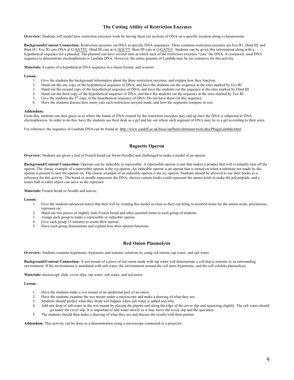# **The Cutting Ability of Restriction Enzymes**

**Overview:** Students will model how restriction enzymes work by having them cut sections of DNA on a specific location along a chromosome.

**Background/Content Connection:** Restriction enzymes cut DNA at specific DNA sequences. Three common restriction enzymes are Eco R1, Hind III, and Bam H1. Eco RI cuts DNA at G/AATTC. Hind III cuts at A/AGCTT. Bam HI cuts at G/GATCC. Students can be given this information along with a hypothetical sequence for a plasmid. The plasmid can have several sites at which each of the restriction enzymes "cuts" the DNA. A commonly used DNA sequence to demonstrate electrophoresis is Lambda DNA. However, the entire genome of Lambda may be too extensive for this activity.

**Materials:** 4 copies of a hypothetical DNA sequence in a linear format, and scissors.

#### **Lesson:**

- 1. Give the students the background information about the three restriction enzymes, and explain how they function.
- 2. Hand out the one copy of the hypothetical sequence of DNA, and have the students cut the sequence at the sites marked by Eco RI.
- 3. Hand out the second copy of the hypothetical sequence of DNA, and have the students cut the sequence at the sites marked by Hind HI.
- 4. Hand out the third copy of the hypothetical sequence of DNA, and have the students cut the sequence at the sites marked by Eco RI.
- 5. Give the students the  $5<sup>th</sup>$  copy of the hypothetical sequence of DNA. Do not have them cut this sequence.
- 6. Have the students discuss how many cuts each restriction enzyme made, and how the segments compare in size.

#### **Addendum:**

From this, students can then guess as to where the bands of DNA created by the restriction enzymes may end up once the DNA is subjected to DNA electrophoresis. In order to do this, have the students use their desk as a gel and lay out where each segment of DNA may lie in a gel according to their sizes.

For reference, the sequence of Lambda DNA can be found at: http://www.cardiff.ac.uk/biosi/staffinfo/ehrmann/tools/dna/PhageLambda.html.

# **Baguette Operon**

**Overview:** Students are given a loaf of French bread (or Swim Noodle) and challenged to make a model of an operon.

**Background/Content Connection:** Operons can be inducible or repressible. A repressible operon is one that makes a product that will eventually turn off the operon. The classic example of a repressible operon is the *trp* operon. An inducible operon is an operon that is turned on when a substrate not made by the operon is present to turn the operon on. The classic example of an inducible operon is the *lac* operon. Students should be allowed to use their books as a reference for this activity. The bread or noodle represents the DNA, shower curtain hooks could represent the amino acids to make the polypeptide, and a tennis ball or other object can serve as the repressor

**Materials:** French bread or Noodle and knives,

#### **Lesson:**

- 1. Give the students advanced notice that they will be creating this model in class so they can bring in assorted items for the amino acids, polymerase, repressor etc.
- 2. Hand out two pieces of slightly stale French bread and other assorted items to each group of students.
- 3. Assign each group to make a repressible or inducible operon.
- 4. Give each group 15 minutes to create their operon.
- 5. Have each group demonstrate and explain how their operon functions.

# **Red Onion Plasmolysis**

**Overview:** Students examine hypertonic, hypotonic and isotonic solutions by using red onions, tap water, and salt water.

Background/Content Connection: A wet mount of a piece of red onion made with tap water will demonstrate a cell that is isotonic to its surrounding environment. If the environment is inundated with salt water, the environment around the cell turns hypertonic, and the cell exhibits plasmolysis.

**Materials:** microscope slide, cover slips, tap water, salt water, and red onion

#### **Lesson:**

- 1. Have the students make a wet mount of an epidermal peel of an onion.
- 2. Have the students examine the wet mount under a microscope and make a drawing of what they see.
- 3. Students should predict what they think will happen when salt water is added and why.
- 4. Add one drop of salt water to the wet mount by placing the pipette end along the edge of the cover slip and squeezing slightly. The salt water should
- go under the cover slip. It is important to add water slowly as it may move the cover slip and the specimen.
- 5. The students should then make a drawing of what they see and discuss the results with their partner.

**Addendum:** This activity can be done as a demonstration using a microscope connected to a projector.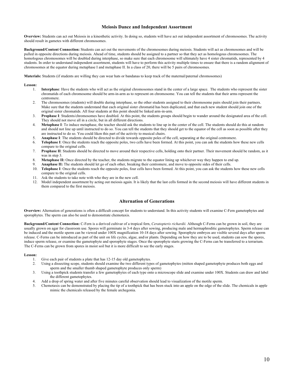# **Meiosis Dance and Independent Assortment**

**Overview:** Students can act out Meiosis in a kinesthetic activity. In doing so, students will have act out independent assortment of chromosomes. The activity should result in gametes with different chromosomes.

**Background/Content Connection:** Students can act out the movements of the chromosomes during meiosis. Students will act as chromosomes and will be pulled in opposite directions during meiosis. Ahead of time, students should be assigned to a partner so that they act as homologous chromosomes. The homologous chromosomes will be doubled during interphase, so make sure that each chromosome will ultimately have 4 sister chromatids, represented by 4 students. In order to understand independent assortment, students will have to perform this activity multiple times to ensure that there is a random alignment of chromosomes at the equator during metaphase I and metaphase II. In a class of 20, there will be 5 pairs of chromosomes.

**Materials:** Students (if students are willing they can wear hats or bandanas to keep track of the maternal/paternal chromosomes)

# **Lesson:**

- 1. **Interphase**: Have the students who will act as the original chromosomes stand in the center of a large space. The students who represent the sister chromatids of each chromosome should be arm-in-arm as to represent on chromosome. You can tell the students that their arms represent the centromere.
- 2. The chromosomes (students) will double during interphase, so the other students assigned to their chromosome pairs should join their partners. Make sure that the students understand that each original sister chromatid has been duplicated, and that each new student should join one of the original sister chromatids. All four students at this point should be linked arm-in-arm.
- 3. **Prophase I**: Students/chromosomes have doubled. At this point, the students groups should begin to wander around the designated area of the cell. They should not move all in a circle, but in all different directions.
- 4. **Metaphase I**: To induce metaphase, the teacher should ask the students to line up in the center of the cell. The students should do this at random and should not line up until instructed to do so. You can tell the students that they should get to the equator of the cell as soon as possible after they are instructed to do so. You could liken this part of the activity to musical chairs.
- 5. **Anaphase I**: The students should be directed to divide towards opposite poles of the cell, separating at the original centromere.
- 6. **Telophase I**: Once the students reach the opposite poles, two cells have been formed. At this point, you can ask the students how these new cells compare to the original cells.
- 7. **Prophase II**: Students should be directed to move around their respective cells, holding onto their partner. Their movement should be random, as it was in step 3.
- 8. **Metaphase II:** Once directed by the teacher, the students migrate to the equator lining up whichever way they happen to end up.
- 9. **Anaphase II:** The students should let go of each other, breaking their centromere, and move to opposite sides of their cells.<br>10. **Telophase I:** Once the students reach the opposite poles, four cells have been formed.
- 10. **Telophase I**: Once the students reach the opposite poles, four cells have been formed. At this point, you can ask the students how these new cells compare to the original cells.
- 11. Ask the students to take note with who they are in the new cell.
- 12. Model independent assortment by acting out meiosis again. It is likely that the last cells formed in the second meiosis will have different students in them compared to the first meiosis.

# **Alternation of Generations**

**Overview:** Alternation of generations is often a difficult concept for students to understand. In this activity students will examine C-Fern gametophytes and sporophytes. The sperm can also be used to demonstrate chemotaxis.

**Background/Content Connection:** C-Fern is a derived cultivar of a tropical fern, *Ceratopteris richardii.* Although C-Ferns can be grown in soil, they are usually grown on agar for classroom use. Spores will germinate in 3-4 days after sowing, producing male and hermaphroditic gametophytes. Sperm release can be induced and the motile sperm can be viewed under 100X magnification 10-18 days after sowing. Sporophyte embryos are visible several days after sperm release. C-Ferns can be introduced as part of the unit on life cycles, algae, and/or plants. Depending on how they are to be used, students can sow the spores, induce sperm release, or examine the gametophyte and sporophyte stages. Once the sporophyte starts growing the C-Ferns can be transferred to a terrarium. The C-Ferns can be grown from spores in moist soil but it is more difficult to see the early stages.

- 1. Give each pair of students a plate that has 12-15 day old gametophytes.<br>2. Using a dissecting scope, students should examine the two different typ
- 2. Using a dissecting scope, students should examine the two different types of gametophytes (mitten shaped gametophyte produces both eggs and sperm and the smaller thumb shaped gametophyte produces only sperm)
- 3. Using a toothpick students transfer a few gametophytes of each type onto a microscope slide and examine under 100X. Students can draw and label the different gametophytes.
- 4. Add a drop of spring water and after five minutes careful observation should lead to visualization of the motile sperm.
- 5. Chemotaxis can be demonstrated by placing the tip of a toothpick that has been stuck into an apple on the edge of the slide. The chemicals in apple mimic the chemicals released by the female archegonia.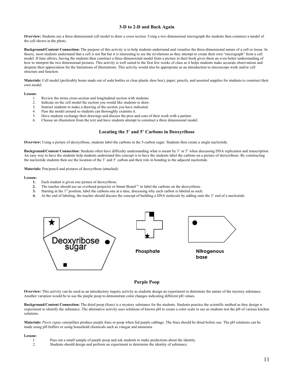# **3-D to 2-D and Back Again**

**Overview:** Students use a three-dimensional cell model to draw a cross section. Using a two dimensional micrograph the students then construct a model of the cell shown in the photo.

**Background/Content Connection:** The purpose of this activity is to help students understand and visualize the three-dimensional nature of a cell or tissue. In theory, most students understand that a cell is not flat but it is interesting to see the revelations as they attempt to create their own "micrograph" from a cell model. If time allows, having the students then construct a three-dimensional model from a picture in their book gives them an even better understanding of how to interpret the two dimensional pictures. This activity is well suited to the first few weeks of class as it helps students make accurate observations and deepens their appreciation for the limitations of illustrations. This activity would also be appropriate as an introduction to microscope work and/or cell structure and function.

**Materials:** Cell model (preferably home made out of soda bottles or clear plastic shoe box), paper, pencils, and assorted supplies for students to construct their own model.

#### **Lesson:**

- 1. Review the terms cross-section and longitudinal section with students.<br>2. Indicate on the cell model the section you would like students to draw.
- Indicate on the cell model the section you would like students to draw.
- 3. Instruct students to make a drawing of the section you have indicated.
- 4. Pass the model around so students can thoroughly examine it.
- 5. Have students exchange their drawings and discuss the pros and cons of their work with a partner.
- 6. Choose an illustration from the text and have students attempt to construct a three dimensional model.

# **Locating the 3' and 5' Carbons in Deoxyribose**

**Overview:** Using a picture of deoxyribose, students label the carbons in the 5-carbon sugar. Students then create a single nucleotide.

**Background/Content Connection:** Students often have difficulty understanding what is meant by 3' or 5' when discussing DNA replication and transcription. An easy way to have the students help students understand this concept is to have the students label the carbons on a picture of deoxyribose. By constructing the nucleotide students then see the location of the 3' and 5' carbon and their role in bonding to the adjacent nucleotide.

**Materials:** Pen/pencil and pictures of deoxyribose (attached)

#### **Lesson:**

- **1.** Each student is given one picture of deoxyribose.
- **2.** The teacher should use an overhead projector or Smart Board  $\mathbb{R}^M$  to label the carbons on the deoxyribose.
- **3.** Starting in the 1<sup>st</sup> position, label the carbons one at a time, discussing why each carbon is labeled as such.
- **4.** At the end of labeling, the teacher should discuss the concept of building a DNA molecule by adding onto the 3' end of a nucleotide.



# **Purple Poop**

**Overview:** This activity can be used as an introductory inquiry activity as students design an experiment to determine the nature of the mystery substance. Another variation would be to use the purple poop to demonstrate color changes indicating different pH values.

**Background/Content Connection:** The dried poop (frass) is a mystery substance for the students. Students practice the scientific method as they design n experiment to identify the substance. The alternative activity uses solutions of known pH to create a color scale to use as students test the pH of various kitchen solutions.

**Materials:** *Pieris rapae* caterpillars produce purple frass or poop when fed purple cabbage. The frass should be dried before use. The pH solutions can be made using pH buffers or using household chemicals such as vinegar and ammonia.

- 1. Pass out a small sample of purple poop and ask students to make predictions about the identity.
- 2. Students should design and perform an experiment to determine the identity of substance.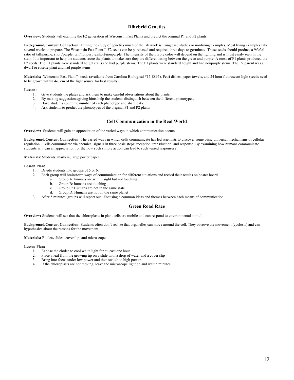# **Dihybrid Genetics**

**Overview:** Students will examine the F2 generation of Wisconsin Fast Plants and predict the original P1 and P2 plants.

**Background/Content Connection:** During the study of genetics much of the lab work is using case studies or nonliving examples. Most living examples take several weeks to prepare. The Wisconsin Fast Plant<sup>ry</sup> F2 seeds can be purchased and required three days to germinate. These seeds should produce a 9:3:3:1 ratio of tall/purple: short/purple: tall/nonpurple:short/nonpurple. The intensity of the purple color will depend on the lighting and is most easily seen in the stem. It is important to help the students score the plants to make sure they are differentiating between the green and purple. A cross of F1 plants produced the F2 seeds. The F1 plants were standard height (tall) and had purple stems. The P1 plants were standard height and had nonpurple stems. The P2 parent was a dwarf or rosette plant and had purple stems.

Materials: Wisconsin Fast Plant<sup>™</sup> seeds (available from Carolina Biological #15-8895), Petri dishes, paper towels, and 24 hour fluorescent light (seeds need to be grown within 4-6 cm of the light source for best results)

#### **Lesson:**

- 1. Give students the plates and ask them to make careful observations about the plants.
- 2. By making suggestions/giving hints help the students distinguish between the different phenotypes.
- 3. Have students count the number of each phenotype and share data.
- 4. Ask students to predict the phenotypes of the original P1 and P2 plants

# **Cell Communication in the Real World**

**Overview:** Students will gain an appreciation of the varied ways in which communication occurs.

**Background/Content Connection:** The varied ways in which cells communicate has led scientists to discover some basic universal mechanisms of cellular regulation. Cells communicate via chemical signals in three basic steps: reception, transduction, and response. By examining how humans communicate students will can an appreciation for the how such simple action can lead to such varied responses?

**Materials:** Students, markers, large poster paper

#### **Lesson Plan:**

- 1. Divide students into groups of 5 or 6.
- 2. Each group will brainstorm ways of communication for different situations and record their results on poster board.
	- a. Group A: humans are within sight but not touching
		- b. Group B: humans are touching
		- c. Group C: Humans are not in the same state<br>d. Group D: Humans are not on the same plan
		- Group D: Humans are not on the same planet
- 3. After 5 minutes, groups will report out. Focusing a common ideas and themes between each means of communication.

# **Green Road Race**

**Overview:** Students will see that the chloroplasts in plant cells are mobile and can respond to environmental stimuli.

**Background/Content Connection:** Students often don't realize that organelles can move around the cell. They observe the movement (cyclosis) and can hypothesize about the reasons for the movement.

**Materials:** Elodea**,** slides, coverslip, and microscope

#### **Lesson Plan:**

- 1. Expose the elodea to cool white light for at least one hour
- 2. Place a leaf from the growing tip on a slide with a drop of water and a cover slip
- 3. Bring into focus under low power and then switch to high power.
- 4. If the chloroplasts are not moving, leave the microscope light on and wait 5 minutes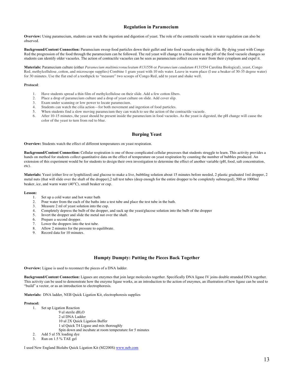# **Regulation in Paramecium**

**Overview:** Using paramecium, students can watch the ingestion and digestion of yeast. The role of the contractile vacuole in water regulation can also be observed.

**Background/Content Connection:** Paramecium sweep food particles down their gullet and into food vacuoles using their cilia. By dying yeast with Congo Red the progression of the food through the paramecium can be followed. The red yeast will change to a blue color as the pH of the food vacuole changes so students can identify older vacuoles. The action of contractile vacuoles can be seen as paramecium collect excess water from their cytoplasm and expel it.

**Materials:** Paramecium culture (either *Paramecium multimicronucleatum* #131558 or *Paramecium caudatum* #131554 Carolina Biological), yeast, Congo Red, methylcellulose, cotton, and microscope supplies) Combine 1 gram yeast with 10 mls water. Leave in warm place (I use a beaker of 30-35 degree water) for 30 minutes. Use the flat end of a toothpick to "measure" two scoops of Congo Red, add to yeast and shake well.

#### **Protocol**:

- 1. Have students spread a thin film of methylcellulose on their slide. Add a few cotton fibers.
- 2. Place a drop of paramecium culture and a drop of yeast culture on slide. Add cover slip.<br>3. Exam under scanning or low nower to locate paramecium.
- Exam under scanning or low power to locate paramecium.
- 4. Students can watch the cilia action—for both movement and ingestion of food particles.
- 5. When students find a slow moving paramecium they can watch to see the action of the contractile vacuole.
- 6. After 10-15 minutes, the yeast should be present inside the paramecium in food vacuoles. As the yeast is digested, the pH change will cause the color of the yeast to turn from red to blue.

# **Burping Yeast**

**Overview:** Students watch the effect of different temperatures on yeast respiration.

**Background/Content Connection:** Cellular respiration is one of those complicated cellular processes that students struggle to learn. This activity provides a hands on method for students collect quantitative data on the effect of temperature on yeast respiration by counting the number of bubbles produced. An extension of this experiment would be for students to design their own investigation to determine the effect of another variable (pH, food, salt concentration, etc).

**Materials:** Yeast (either live or lyophilized) and glucose to make a live, bubbling solution about 15 minutes before needed, 2 plastic graduated 1ml dropper, 2 metal nuts (that will slide over the shaft of the dropper),2 tall test tubes (deep enough for the entire dropper to be completely submerged), 500 or 1000ml beaker, ice, and warm water (40°C), small beaker or cup.

# Lesson:<br>1.

- 1. Set up a cold water and hot water bath<br>2. Pour water from the each of the baths
- Pour water from the each of the baths into a test tube and place the test tube in the bath.
- 3. Measure 2 ml of yeast solution into the cup.<br>4. Completely depress the bulb of the dropper.
- 4. Completely depress the bulb of the dropper, and suck up the yeast/glucose solution into the bulb of the dropper
- 5. Invert the dropper and slide the metal nut over the shaft.
- 6. Prepare a second dropper.
- 7. Lower the droppers into the test tube.
- 8. Allow 2 minutes for the pressure to equilibrate.
- 9. Record data for 10 minutes.

# **Humpty Dumpty: Putting the Pieces Back Together**

**Overview:** Ligase is used to reconnect the pieces of a DNA ladder.

**Background/Content Connection:** Ligases are enzymes that join large molecules together. Specifically DNA ligase IV joins double stranded DNA together. This activity can be used to demonstrate how the enzyme ligase works, as an introduction to the action of enzymes, an illustration of how ligase can be used to "build" a vector, or as an introduction to electrophoresis.

**Materials:** DNA ladder, NEB Quick Ligation Kit, electrophoresis supplies

#### **Protocol:**

- 1. Set up Ligation Reaction
	- 9 ul sterile dH<sub>2</sub>O
		- 2 ul DNA Ladder 10 ul 2X Quick Ligation Buffer
		- 1 ul Quick T4 Ligase and mix thoroughly
		- Spin down and incubate at room temperature for 5 minutes
- 2. Add 5 ul 5X loading dye 3. Run on 1.5 % TAE gel

I used New England Biolabs Quick Ligation Kit (M2200S) www.neb.com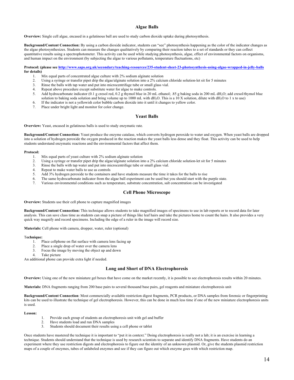# **Algae Balls**

**Overview:** Single cell algae, encased in a gelatinous ball are used to study carbon dioxide uptake during photosynthesis.

**Background/Content Connection:** By using a carbon dioxide indicator, students can "see" photosynthesis happening as the color of the indicator changes as the algae photosynthesizes. Students can measure the changes qualitatively by comparing their reaction tubes to a set of standards or they can collect quantitative results using a spectrophotometer. This activity can be used while studying photosynthesis, algae, effect of environmental factors on organisms, and human impact on the environment (by subjecting the algae to various pollutants, temperature fluctuations, etc)

#### **Protocol: (please see http://www.saps.org.uk/secondary/teaching-resources/235-student-sheet-23-photosynthesis-using-algae-wrapped-in-jelly-balls for details)**

- 1. Mix equal parts of concentrated algae culture with 2% sodium alginate solution
- 2. Using a syringe or transfer pipet drip the algae/alginate solution into a 2% calcium chloride solution-let sit for 5 minutes
- 3. Rinse the balls with tap water and put into microcentrifuge tube or small glass vial.
- 4. Repeat above procedure except substitute water for algae to make controls.
- 5. Add hydrocarbonate indicator (0.1 g cresol red, 0.2 g thymol blue in 20 mL ethanol; .85 g baking soda in 200 mL dH2O; add cresol/thymol blue solution to baking soda solution and bring volume up to 1000 mL with dH<sub>2</sub>O. This is a 10 X solution, dilute with dH<sub>2</sub>O to 1 x to use)
- 6. If the indicator is not a yellowish color bubble carbon dioxide into it until it changes to yellow color.
- 7. Place under bright light and monitor for color change.

# **Yeast Balls**

**Overview:** Yeast, encased in gelatinous balls is used to study enzymatic rate.

**Background/Content Connection:** Yeast produce the enzyme catalase, which converts hydrogen peroxide to water and oxygen. When yeast balls are dropped into a solution of hydrogen peroxide the oxygen produced in the reaction makes the yeast balls less dense and they float. This activity can be used to help students understand enzymatic reactions and the environmental factors that affect them.

#### **Protocol:**

- 1. Mix equal parts of yeast culture with 2% sodium alginate solution
- 2. Using a syringe or transfer pipet drip the algae/alginate solution into a 2% calcium chloride solution-let sit for 5 minutes 3. Rinse the balls with tap water and put into microcentrifuge tube or small glass vial.
- Rinse the balls with tap water and put into microcentrifuge tube or small glass vial.
- 4. Repeat to make water balls to use as controls
- 5. Add 3% hydrogen peroxide to the containers and have students measure the time it takes for the balls to rise
- 6. The same hydrocarbonate indicator from the algae ball experiment can be used but you should start with the purple state.
- 7. Various environmental conditions such as temperature, substrate concentration, salt concentration can be investigated

# **Cell Phone Microscope**

**Overview:** Students use their cell phone to capture magnified images

**Background/Content Connection:** This technique allows students to take magnified images of specimens to use in lab reports or to record data for later analysis. This can save class time as students can snap a picture of things like leaf hairs and take the pictures home to count the hairs. It also provides a very quick way magnify and record specimens. Including the edge of a ruler in the image will record size.

**Materials:** Cell phone with camera, dropper, water, ruler (optional)

# T**echnique:**

- 1. Place cellphone on flat surface with camera lens facing up 2. Place a single drop of water over the camera lens
- 2. Place a single drop of water over the camera lens<br>3. Focus the image by moving the object up and dow
- Focus the image by moving the object up and down
- 4. Take picture

An additional phone can provide extra light if needed.

# **Long and Short of DNA Electrophoresis**

**Overview:** Using one of the new miniature gel boxes that have come on the market recently, it is possible to see electrophoresis results within 20 minutes.

**Materials:** DNA fragments ranging from 200 base pairs to several thousand base pairs, gel reagents and miniature electrophoresis unit

**Background/Content Connection**: Most commercially available restriction digest fragments, PCR products, or DNA samples from forensic or fingerprinting kits can be used to illustrate the technique of gel electrophoresis. However, this can be done in much less time if one of the new miniature electrophoresis units is used.

#### **Lesson:**

- 1. Provide each group of students an electrophoresis unit with gel and buffer
- 2. Have students load and run DNA samples
- 3. Students should document their results using a cell phone or tablet

Once students have mastered the technique it is important to "put it in context." Doing electrophoresis is really not a lab; it is an exercise in learning a technique. Students should understand that the technique is used by research scientists to separate and identify DNA fragments. Have students do an experiment where they use restriction digests and electrophoresis to figure out the identity of an unknown plasmid. Or, give the students plasmid restriction maps of a couple of enzymes, tubes of unlabeled enzymes and see if they can figure out which enzyme goes with which restriction map.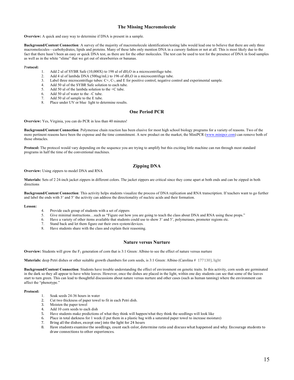# **The Missing Macromolecule**

**Overview:** A quick and easy way to determine if DNA is present in a sample.

**Background/Content Connection**: A survey of the majority of macromolecule identification/testing labs would lead one to believe that there are only three macromolecules—carbohydrates, lipids and proteins. Many of these labs only mention DNA in a cursory fashion or not at all. This is most likely due to the fact that there hasn't been an easy or quick DNA test, as there are for the other molecules. The test can be used to test for the presence of DNA in food samples as well as in the white "slime" that we get out of strawberries or bananas.

#### Pr**otocol:**

- 1. Add 2 ul of SYBR Safe (10,000X) to 198 ul of  $dH_2O$  in a microcentrifuge tube.<br>2. Add 4 ul of lambda DNA (500ug/mL) to 196 of  $dH_2O$  in a microcentrifuge tube
- Add 4 ul of lambda DNA (500ug/mL) to 196 of  $dH<sub>2</sub>O$  in a microcentrifuge tube.
- 3. Label three microcentrifuge tubes: C+, C-, and E for positive control, negative control and experimental sample.
- 4. Add 50 ul of the SYBR Safe solution to each tube.
- 5. Add 50 ul of the lambda solution to the +C tube.
- 6. Add 50 ul of water to the –C tube.
- 7. Add 50 ul of sample to the E tube.<br>8. Place under IIV or blue, light to de
- Place under UV or blue light to determine results.

# **One Period PCR**

**Overview:** Yes, Virginia, you can do PCR in less than 40 minutes!

**Background/Content Connection**: Polymerase chain reaction has been elusive for most high school biology programs for a variety of reasons. Two of the more pertinent reasons have been the expense and the time commitment. A new product on the market, the MiniPCR (www.minipcr.com) can remove both of those obstacles.

**Protocol:** The protocol would vary depending on the sequence you are trying to amplify but this exciting little machine can run through most standard programs in half the time of the conventional machines.

# **Zipping DNA**

**Overview:** Using zippers to model DNA and RNA

**Materials:** Sets of 2 24-inch jacket zippers in different colors. The jacket zippers are critical since they come apart at both ends and can be zipped in both directions

**Background/Content Connection**: This activity helps students visualize the process of DNA replication and RNA transcription. If teachers want to go further and label the ends with 3' and 5' the activity can address the directionality of nucleic acids and their formation.

#### **Lesson:**

- 4. Provide each group of students with a set of zippers
- 5. Give minimal instructions…such as "Figure out how you are going to teach the class about DNA and RNA using these props."
- 6. Have a variety of other items available that students could use to show 3' and 5', polymerases, promoter regions etc.
- 7. Stand back and let them figure out their own system/devices.
- 8. Have students share with the class and explain their reasoning.

# **Nature versus Nurture**

**Overview:** Students will grow the F<sub>2</sub> generation of corn that is 3:1 Green: Albino to see the effect of nature versus nurture

Materials: deep Petri dishes or other suitable growth chambers for corn seeds, is 3:1 Green: Albino (Carolina # 177130), light

**Background/Content Connection**: Students have trouble understanding the effect of environment on genetic traits. In this activity, corn seeds are germinated in the dark so they all appear to have white leaves. However, once the dishes are placed in the light, within one day students can see that some of the leaves start to turn green. This can lead to thoughtful discussions about nature versus nurture and other cases (such as human tanning) where the environment can affect the "phenotype."

#### **Protocol:**

- 1. Soak seeds 24-36 hours in water
- 2. Cut two thickness of paper towel to fit in each Petri dish.
- 3. Moisten the paper towel
- 4. Add 10 corn seeds to each dish
- 5. Have students make predictions of what they think will happen/what they think the seedlings will look like
- 6. Place in total darkness for 1 week (I put them in a plastic bag with a saturated paper towel to increase moisture)
- 7. Bring all the dishes, except one) into the light for 24 hours
- 8. Have students examine the seedlings, count each color, determine ratio and discuss what happened and why. Encourage students to draw connections to other experiences.